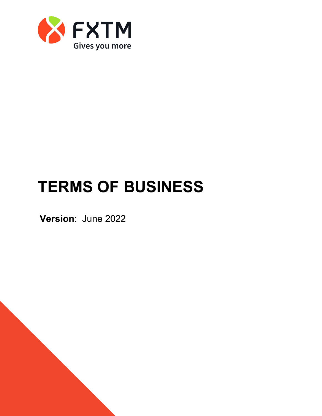

# **TERMS OF BUSINESS**

**Version**: June 2022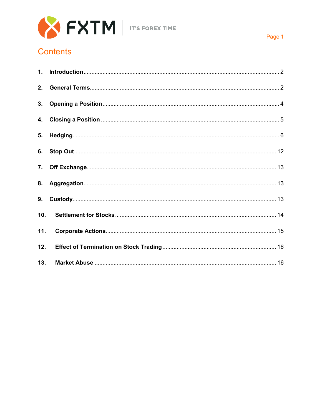

## **Contents**

<span id="page-1-0"></span>

| 2.  |  |
|-----|--|
|     |  |
|     |  |
|     |  |
|     |  |
|     |  |
|     |  |
|     |  |
| 10. |  |
| 11. |  |
| 12. |  |
| 13. |  |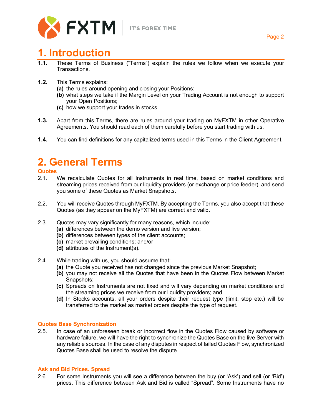

## **1. Introduction**

- **1.1.** These Terms of Business ("Terms") explain the rules we follow when we execute your Transactions.
- **1.2.** This Terms explains:
	- **(a)** the rules around opening and closing your Positions;
	- **(b)** what steps we take if the Margin Level on your Trading Account is not enough to support your Open Positions;
	- **(c)** how we support your trades in stocks.
- **1.3.** Apart from this Terms, there are rules around your trading on MyFXTM in other Operative Agreements. You should read each of them carefully before you start trading with us.
- **1.4.** You can find definitions for any capitalized terms used in this Terms in the Client Agreement.

## <span id="page-2-0"></span>**2. General Terms**

## **Quotes**

- We recalculate Quotes for all Instruments in real time, based on market conditions and streaming prices received from our liquidity providers (or exchange or price feeder), and send you some of these Quotes as Market Snapshots.
- 2.2. You will receive Quotes through MyFXTM. By accepting the Terms, you also accept that these Quotes (as they appear on the MyFXTM) are correct and valid.
- 2.3. Quotes may vary significantly for many reasons, which include:
	- **(a)** differences between the demo version and live version;
	- **(b)** differences between types of the client accounts;
	- **(c)** market prevailing conditions; and/or
	- **(d)** attributes of the Instrument(s).
- 2.4. While trading with us, you should assume that:
	- **(a)** the Quote you received has not changed since the previous Market Snapshot;
	- **(b)** you may not receive all the Quotes that have been in the Quotes Flow between Market Snapshots;
	- **(c)** Spreads on Instruments are not fixed and will vary depending on market conditions and the streaming prices we receive from our liquidity providers; and
	- **(d)** In Stocks accounts, all your orders despite their request type (limit, stop etc.) will be transferred to the market as market orders despite the type of request.

### **Quotes Base Synchronization**

2.5. In case of an unforeseen break or incorrect flow in the Quotes Flow caused by software or hardware failure, we will have the right to synchronize the Quotes Base on the live Server with any reliable sources. In the case of any disputes in respect of failed Quotes Flow, synchronized Quotes Base shall be used to resolve the dispute.

### **Ask and Bid Prices. Spread**

2.6. For some Instruments you will see a difference between the buy (or 'Ask') and sell (or 'Bid') prices. This difference between Ask and Bid is called "Spread". Some Instruments have no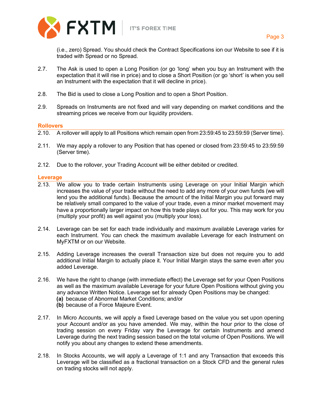

(i.e., zero) Spread. You should check the Contract Specifications ion our Website to see if it is traded with Spread or no Spread.

- 2.7. The Ask is used to open a Long Position (or go 'long' when you buy an Instrument with the expectation that it will rise in price) and to close a Short Position (or go 'short' is when you sell an Instrument with the expectation that it will decline in price).
- 2.8. The Bid is used to close a Long Position and to open a Short Position.
- 2.9. Spreads on Instruments are not fixed and will vary depending on market conditions and the streaming prices we receive from our liquidity providers.

### **Rollovers**

- 2.10. A rollover will apply to all Positions which remain open from 23:59:45 to 23:59:59 (Server time).
- 2.11. We may apply a rollover to any Position that has opened or closed from 23:59:45 to 23:59:59 (Server time).
- 2.12. Due to the rollover, your Trading Account will be either debited or credited.

### **Leverage**

- 2.13. We allow you to trade certain Instruments using Leverage on your Initial Margin which increases the value of your trade without the need to add any more of your own funds (we will lend you the additional funds). Because the amount of the Initial Margin you put forward may be relatively small compared to the value of your trade, even a minor market movement may have a proportionally larger impact on how this trade plays out for you. This may work for you (multiply your profit) as well against you (multiply your loss).
- 2.14. Leverage can be set for each trade individually and maximum available Leverage varies for each Instrument. You can check the maximum available Leverage for each Instrument on MyFXTM or on our Website.
- 2.15. Adding Leverage increases the overall Transaction size but does not require you to add additional Initial Margin to actually place it. Your Initial Margin stays the same even after you added Leverage.
- 2.16. We have the right to change (with immediate effect) the Leverage set for your Open Positions as well as the maximum available Leverage for your future Open Positions without giving you any advance Written Notice. Leverage set for already Open Positions may be changed: **(a)** because of Abnormal Market Conditions; and/or
	- **(b)** because of a Force Majeure Event.
- 2.17. In Micro Accounts, we will apply a fixed Leverage based on the value you set upon opening your Account and/or as you have amended. We may, within the hour prior to the close of trading session on every Friday vary the Leverage for certain Instruments and amend Leverage during the next trading session based on the total volume of Open Positions. We will notify you about any changes to extend these amendments.
- 2.18. In Stocks Accounts, we will apply a Leverage of 1:1 and any Transaction that exceeds this Leverage will be classified as a fractional transaction on a Stock CFD and the general rules on trading stocks will not apply.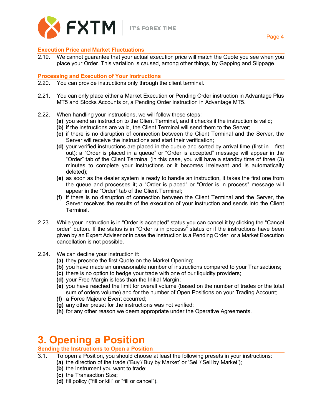

### **Execution Price and Market Fluctuations**

2.19. We cannot guarantee that your actual execution price will match the Quote you see when you place your Order. This variation is caused, among other things, by Gapping and Slippage.

### **Processing and Execution of Your Instructions**

- 2.20. You can provide instructions only through the client terminal.
- 2.21. You can only place either a Market Execution or Pending Order instruction in Advantage Plus MT5 and Stocks Accounts or, a Pending Order instruction in Advantage MT5.
- 2.22. When handling your instructions, we will follow these steps:
	- **(a)** you send an instruction to the Client Terminal, and it checks if the instruction is valid;
	- **(b)** if the instructions are valid, the Client Terminal will send them to the Server;
	- **(c)** if there is no disruption of connection between the Client Terminal and the Server, the Server will receive the instructions and start their verification;
	- **(d)** your verified instructions are placed in the queue and sorted by arrival time (first in first out); a "Order is placed in a queue" or "Order is accepted" message will appear in the "Order" tab of the Client Terminal (in this case, you will have a standby time of three (3) minutes to complete your instructions or it becomes irrelevant and is automatically deleted);
	- **(e)** as soon as the dealer system is ready to handle an instruction, it takes the first one from the queue and processes it; a "Order is placed" or "Order is in process" message will appear in the "Order" tab of the Client Terminal;
	- **(f)** if there is no disruption of connection between the Client Terminal and the Server, the Server receives the results of the execution of your instruction and sends into the Client Terminal.
- 2.23. While your instruction is in "Order is accepted" status you can cancel it by clicking the "Cancel order" button. If the status is in "Order is in process" status or if the instructions have been given by an Expert Adviser or in case the instruction is a Pending Order, or a Market Execution cancellation is not possible.
- 2.24. We can decline your instruction if:
	- **(a)** they precede the first Quote on the Market Opening;
	- **(b)** you have made an unreasonable number of instructions compared to your Transactions;
	- **(c)** there is no option to hedge your trade with one of our liquidity providers;
	- **(d)** your Free Margin is less than the Initial Margin;
	- **(e)** you have reached the limit for overall volume (based on the number of trades or the total sum of orders volume) and for the number of Open Positions on your Trading Account;
	- **(f)** a Force Majeure Event occurred;
	- **(g)** any other preset for the instructions was not verified;
	- **(h)** for any other reason we deem appropriate under the Operative Agreements.

## <span id="page-4-0"></span>**3. Opening a Position**

### **Sending the Instructions to Open a Position**

- 3.1. To open a Position, you should choose at least the following presets in your instructions:
	- **(a)** the direction of the trade ('Buy'/'Buy by Market' or 'Sell'/'Sell by Market');
	- **(b)** the Instrument you want to trade;
	- **(c)** the Transaction Size;
	- **(d)** fill policy ("fill or kill" or "fill or cancel").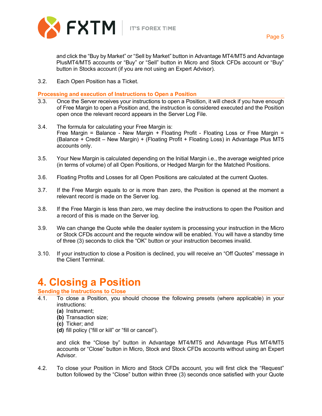

and click the "Buy by Market" or "Sell by Market" button in Advantage MT4/MT5 and Advantage PlusMT4/MT5 accounts or "Buy" or "Sell" button in Micro and Stock CFDs account or "Buy" button in Stocks account (if you are not using an Expert Advisor).

3.2. Each Open Position has a Ticket.

**Processing and execution of Instructions to Open a Position**

- 3.3. Once the Server receives your instructions to open a Position, it will check if you have enough of Free Margin to open a Position and, the instruction is considered executed and the Position open once the relevant record appears in the Server Log File.
- 3.4. The formula for calculating your Free Margin is: Free Margin = Balance - New Margin + Floating Profit - Floating Loss or Free Margin = (Balance + Credit – New Margin) + (Floating Profit + Floating Loss) in Advantage Plus MT5 accounts only.
- 3.5. Your New Margin is calculated depending on the Initial Margin i.e., the average weighted price (in terms of volume) of all Open Positions, or Hedged Margin for the Matched Positions.
- 3.6. Floating Profits and Losses for all Open Positions are calculated at the current Quotes.
- 3.7. If the Free Margin equals to or is more than zero, the Position is opened at the moment a relevant record is made on the Server log.
- 3.8. If the Free Margin is less than zero, we may decline the instructions to open the Position and a record of this is made on the Server log.
- 3.9. We can change the Quote while the dealer system is processing your instruction in the Micro or Stock CFDs account and the requote window will be enabled. You will have a standby time of three (3) seconds to click the "OK" button or your instruction becomes invalid.
- 3.10. If your instruction to close a Position is declined, you will receive an "Off Quotes" message in the Client Terminal.

## <span id="page-5-0"></span>**4. Closing a Position**

**Sending the Instructions to Close**

- 4.1. To close a Position, you should choose the following presets (where applicable) in your instructions:
	- **(a)** Instrument;
	- **(b)** Transaction size;
	- **(c)** Ticker; and
	- **(d)** fill policy ("fill or kill" or "fill or cancel").

and click the "Close by" button in Advantage MT4/MT5 and Advantage Plus MT4/MT5 accounts or "Close" button in Micro, Stock and Stock CFDs accounts without using an Expert Advisor.

4.2. To close your Position in Micro and Stock CFDs account, you will first click the "Request" button followed by the "Close" button within three (3) seconds once satisfied with your Quote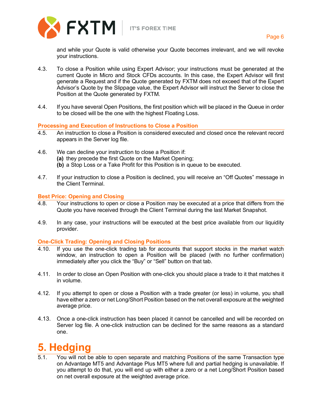



Page 6

and while your Quote is valid otherwise your Quote becomes irrelevant, and we will revoke your instructions.

- 4.3. To close a Position while using Expert Advisor; your instructions must be generated at the current Quote in Micro and Stock CFDs accounts. In this case, the Expert Advisor will first generate a Request and if the Quote generated by FXTM does not exceed that of the Expert Advisor's Quote by the Slippage value, the Expert Advisor will instruct the Server to close the Position at the Quote generated by FXTM.
- 4.4. If you have several Open Positions, the first position which will be placed in the Queue in order to be closed will be the one with the highest Floating Loss.

### **Processing and Execution of Instructions to Close a Position**

- 4.5. An instruction to close a Position is considered executed and closed once the relevant record appears in the Server log file.
- 4.6. We can decline your instruction to close a Position if:
	- **(a)** they precede the first Quote on the Market Opening;
	- **(b)** a Stop Loss or a Take Profit for this Position is in queue to be executed.
- 4.7. If your instruction to close a Position is declined, you will receive an "Off Quotes" message in the Client Terminal.

### **Best Price: Opening and Closing**

- 4.8. Your instructions to open or close a Position may be executed at a price that differs from the Quote you have received through the Client Terminal during the last Market Snapshot.
- 4.9. In any case, your instructions will be executed at the best price available from our liquidity provider.

### **One-Click Trading: Opening and Closing Positions**

- 4.10. If you use the one-click trading tab for accounts that support stocks in the market watch window, an instruction to open a Position will be placed (with no further confirmation) immediately after you click the "Buy" or "Sell" button on that tab.
- 4.11. In order to close an Open Position with one-click you should place a trade to it that matches it in volume.
- 4.12. If you attempt to open or close a Position with a trade greater (or less) in volume, you shall have either a zero or net Long/Short Position based on the net overall exposure at the weighted average price.
- 4.13. Once a one-click instruction has been placed it cannot be cancelled and will be recorded on Server log file. A one-click instruction can be declined for the same reasons as a standard one.

## <span id="page-6-0"></span>**5. Hedging**

5.1. You will not be able to open separate and matching Positions of the same Transaction type on Advantage MT5 and Advantage Plus MT5 where full and partial hedging is unavailable. If you attempt to do that, you will end up with either a zero or a net Long/Short Position based on net overall exposure at the weighted average price.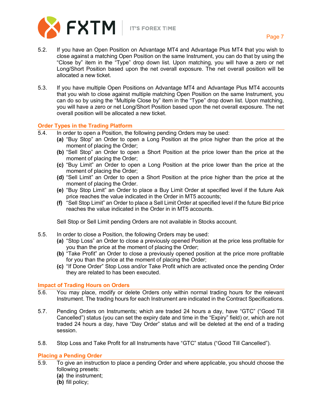

- 5.2. If you have an Open Position on Advantage MT4 and Advantage Plus MT4 that you wish to close against a matching Open Position on the same Instrument, you can do that by using the "Close by" item in the "Type" drop down list. Upon matching, you will have a zero or net Long/Short Position based upon the net overall exposure. The net overall position will be allocated a new ticket.
- 5.3. If you have multiple Open Positions on Advantage MT4 and Advantage Plus MT4 accounts that you wish to close against multiple matching Open Position on the same Instrument, you can do so by using the "Multiple Close by" item in the "Type" drop down list. Upon matching, you will have a zero or net Long/Short Position based upon the net overall exposure. The net overall position will be allocated a new ticket.

### **Order Types in the Trading Platform**

- 5.4. In order to open a Position, the following pending Orders may be used:
	- **(a)** "Buy Stop" an Order to open a Long Position at the price higher than the price at the moment of placing the Order;
	- **(b)** "Sell Stop" an Order to open a Short Position at the price lower than the price at the moment of placing the Order;
	- **(c)** "Buy Limit" an Order to open a Long Position at the price lower than the price at the moment of placing the Order;
	- **(d)** "Sell Limit" an Order to open a Short Position at the price higher than the price at the moment of placing the Order.
	- **(e)** "Buy Stop Limit" an Order to place a Buy Limit Order at specified level if the future Ask price reaches the value indicated in the Order in MT5 accounts;
	- **(f)** "Sell Stop Limit" an Order to place a Sell Limit Order at specified level if the future Bid price reaches the value indicated in the Order in in MT5 accounts.

Sell Stop or Sell Limit pending Orders are not available in Stocks account.

- 5.5. In order to close a Position, the following Orders may be used:
	- **(a)** "Stop Loss" an Order to close a previously opened Position at the price less profitable for you than the price at the moment of placing the Order;
	- **(b)** "Take Profit" an Order to close a previously opened position at the price more profitable for you than the price at the moment of placing the Order;
	- **(c)** "If Done Order" Stop Loss and/or Take Profit which are activated once the pending Order they are related to has been executed.

### **Impact of Trading Hours on Orders**

- 5.6. You may place, modify or delete Orders only within normal trading hours for the relevant Instrument. The trading hours for each Instrument are indicated in the Contract Specifications.
- 5.7. Pending Orders on Instruments; which are traded 24 hours a day, have "GTC" ("Good Till Cancelled") status (you can set the expiry date and time in the "Expiry" field) or, which are not traded 24 hours a day, have "Day Order" status and will be deleted at the end of a trading session.
- 5.8. Stop Loss and Take Profit for all Instruments have "GTC" status ("Good Till Cancelled").

### **Placing a Pending Order**

- 5.9. To give an instruction to place a pending Order and where applicable, you should choose the following presets:
	- **(a)** the instrument;
	- **(b)** fill policy;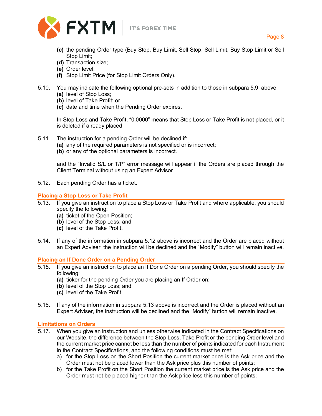

- **(c)** the pending Order type (Buy Stop, Buy Limit, Sell Stop, Sell Limit, Buy Stop Limit or Sell Stop Limit;
- **(d)** Transaction size;
- **(e)** Order level;
- **(f)** Stop Limit Price (for Stop Limit Orders Only).
- 5.10. You may indicate the following optional pre-sets in addition to those in subpara 5.9. above: **(a)** level of Stop Loss;
	- **(b)** level of Take Profit; or
	- **(c)** date and time when the Pending Order expires.

In Stop Loss and Take Profit, "0.0000" means that Stop Loss or Take Profit is not placed, or it is deleted if already placed.

- 5.11. The instruction for a pending Order will be declined if:
	- **(a)** any of the required parameters is not specified or is incorrect;
	- **(b)** or any of the optional parameters is incorrect.

and the "Invalid S/L or T/P" error message will appear if the Orders are placed through the Client Terminal without using an Expert Advisor.

5.12. Each pending Order has a ticket.

### **Placing a Stop Loss or Take Profit**

- 5.13. If you give an instruction to place a Stop Loss or Take Profit and where applicable, you should specify the following:
	- **(a)** ticket of the Open Position;
	- **(b)** level of the Stop Loss; and
	- **(c)** level of the Take Profit.
- 5.14. If any of the information in subpara 5.12 above is incorrect and the Order are placed without an Expert Adviser, the instruction will be declined and the "Modify" button will remain inactive.

### **Placing an If Done Order on a Pending Order**

- 5.15. If you give an instruction to place an If Done Order on a pending Order, you should specify the following:
	- **(a)** ticker for the pending Order you are placing an If Order on;
	- **(b)** level of the Stop Loss; and
	- **(c)** level of the Take Profit.
- 5.16. If any of the information in subpara 5.13 above is incorrect and the Order is placed without an Expert Adviser, the instruction will be declined and the "Modify" button will remain inactive.

### **Limitations on Orders**

- 5.17. When you give an instruction and unless otherwise indicated in the Contract Specifications on our Website, the difference between the Stop Loss, Take Profit or the pending Order level and the current market price cannot be less than the number of points indicated for each Instrument in the Contract Specifications, and the following conditions must be met:
	- a) for the Stop Loss on the Short Position the current market price is the Ask price and the Order must not be placed lower than the Ask price plus this number of points;
	- b) for the Take Profit on the Short Position the current market price is the Ask price and the Order must not be placed higher than the Ask price less this number of points;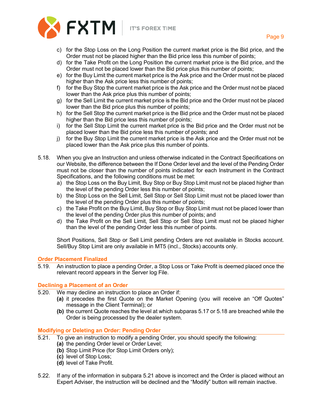

- c) for the Stop Loss on the Long Position the current market price is the Bid price, and the Order must not be placed higher than the Bid price less this number of points;
- d) for the Take Profit on the Long Position the current market price is the Bid price, and the Order must not be placed lower than the Bid price plus this number of points;
- e) for the Buy Limit the current market price is the Ask price and the Order must not be placed higher than the Ask price less this number of points;
- f) for the Buy Stop the current market price is the Ask price and the Order must not be placed lower than the Ask price plus this number of points;
- g) for the Sell Limit the current market price is the Bid price and the Order must not be placed lower than the Bid price plus this number of points;
- h) for the Sell Stop the current market price is the Bid price and the Order must not be placed higher than the Bid price less this number of points;
- i) for the Sell Stop Limit the current market price is the Bid price and the Order must not be placed lower than the Bid price less this number of points; and
- j) for the Buy Stop Limit the current market price is the Ask price and the Order must not be placed lower than the Ask price plus this number of points.
- 5.18. When you give an Instruction and unless otherwise indicated in the Contract Specifications on our Website, the difference between the If Done Order level and the level of the Pending Order must not be closer than the number of points indicated for each Instrument in the Contract Specifications, and the following conditions must be met:
	- a) the Stop Loss on the Buy Limit, Buy Stop or Buy Stop Limit must not be placed higher than the level of the pending Order less this number of points;
	- b) the Stop Loss on the Sell Limit, Sell Stop or Sell Stop Limit must not be placed lower than the level of the pending Order plus this number of points;
	- c) the Take Profit on the Buy Limit, Buy Stop or Buy Stop Limit must not be placed lower than the level of the pending Order plus this number of points; and
	- d) the Take Profit on the Sell Limit, Sell Stop or Sell Stop Limit must not be placed higher than the level of the pending Order less this number of points.

Short Positions, Sell Stop or Sell Limit pending Orders are not available in Stocks account. Sell/Buy Stop Limit are only available in MT5 (incl., Stocks) accounts only.

### **Order Placement Finalized**

5.19. An instruction to place a pending Order, a Stop Loss or Take Profit is deemed placed once the relevant record appears in the Server log File.

### **Declining a Placement of an Order**

- 5.20. We may decline an instruction to place an Order if:
	- **(a)** it precedes the first Quote on the Market Opening (you will receive an "Off Quotes" message in the Client Terminal); or
	- **(b)** the current Quote reaches the level at which subparas 5.17 or 5.18 are breached while the Order is being processed by the dealer system.

### **Modifying or Deleting an Order: Pending Order**

- 5.21. To give an instruction to modify a pending Order, you should specify the following:
	- **(a)** the pending Order level or Order Level;
	- **(b)** Stop Limit Price (for Stop Limit Orders only);
	- **(c)** level of Stop Loss;
	- **(d)** level of Take Profit.
- 5.22. If any of the information in subpara 5.21 above is incorrect and the Order is placed without an Expert Adviser, the instruction will be declined and the "Modify" button will remain inactive.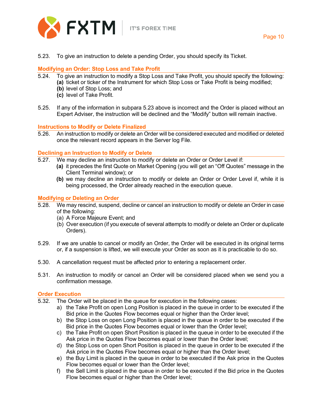

5.23. To give an instruction to delete a pending Order, you should specify its Ticket.

### **Modifying an Order: Stop Loss and Take Profit**

- 5.24. To give an instruction to modify a Stop Loss and Take Profit, you should specify the following: **(a)** ticket or ticker of the Instrument for which Stop Loss or Take Profit is being modified;
	- **(b)** level of Stop Loss; and
	- **(c)** level of Take Profit.
- 5.25. If any of the information in subpara 5.23 above is incorrect and the Order is placed without an Expert Adviser, the instruction will be declined and the "Modify" button will remain inactive.

### **Instructions to Modify or Delete Finalized**

5.26. An instruction to modify or delete an Order will be considered executed and modified or deleted once the relevant record appears in the Server log File.

### **Declining an Instruction to Modify or Delete**

- 5.27. We may decline an instruction to modify or delete an Order or Order Level if:
	- **(a)** it precedes the first Quote on Market Opening (you will get an "Off Quotes" message in the Client Terminal window); or
	- **(b)** we may decline an instruction to modify or delete an Order or Order Level if, while it is being processed, the Order already reached in the execution queue.

### **Modifying or Deleting an Order**

- 5.28. We may rescind, suspend, decline or cancel an instruction to modify or delete an Order in case of the following:
	- (a) A Force Majeure Event; and
	- (b) Over execution (if you execute of several attempts to modify or delete an Order or duplicate Orders).
- 5.29. If we are unable to cancel or modify an Order, the Order will be executed in its original terms or, if a suspension is lifted, we will execute your Order as soon as it is practicable to do so.
- 5.30. A cancellation request must be affected prior to entering a replacement order.
- 5.31. An instruction to modify or cancel an Order will be considered placed when we send you a confirmation message.

### **Order Execution**

- 5.32. The Order will be placed in the queue for execution in the following cases:
	- a) the Take Profit on open Long Position is placed in the queue in order to be executed if the Bid price in the Quotes Flow becomes equal or higher than the Order level;
	- b) the Stop Loss on open Long Position is placed in the queue in order to be executed if the Bid price in the Quotes Flow becomes equal or lower than the Order level;
	- c) the Take Profit on open Short Position is placed in the queue in order to be executed if the Ask price in the Quotes Flow becomes equal or lower than the Order level;
	- d) the Stop Loss on open Short Position is placed in the queue in order to be executed if the Ask price in the Quotes Flow becomes equal or higher than the Order level;
	- e) the Buy Limit is placed in the queue in order to be executed if the Ask price in the Quotes Flow becomes equal or lower than the Order level;
	- f) the Sell Limit is placed in the queue in order to be executed if the Bid price in the Quotes Flow becomes equal or higher than the Order level;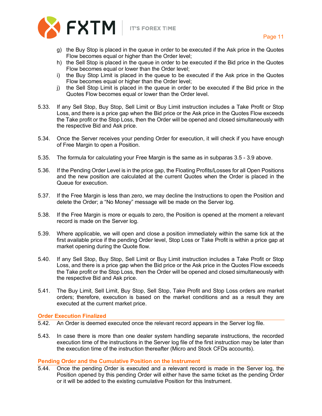

- g) the Buy Stop is placed in the queue in order to be executed if the Ask price in the Quotes Flow becomes equal or higher than the Order level;
- h) the Sell Stop is placed in the queue in order to be executed if the Bid price in the Quotes Flow becomes equal or lower than the Order level;
- i) the Buy Stop Limit is placed in the queue to be executed if the Ask price in the Quotes Flow becomes equal or higher than the Order level;
- j) the Sell Stop Limit is placed in the queue in order to be executed if the Bid price in the Quotes Flow becomes equal or lower than the Order level.
- 5.33. If any Sell Stop, Buy Stop, Sell Limit or Buy Limit instruction includes a Take Profit or Stop Loss, and there is a price gap when the Bid price or the Ask price in the Quotes Flow exceeds the Take profit or the Stop Loss, then the Order will be opened and closed simultaneously with the respective Bid and Ask price.
- 5.34. Once the Server receives your pending Order for execution, it will check if you have enough of Free Margin to open a Position.
- 5.35. The formula for calculating your Free Margin is the same as in subparas 3.5 3.9 above.
- 5.36. If the Pending Order Level is in the price gap, the Floating Profits/Losses for all Open Positions and the new position are calculated at the current Quotes when the Order is placed in the Queue for execution.
- 5.37. If the Free Margin is less than zero, we may decline the Instructions to open the Position and delete the Order; a "No Money" message will be made on the Server log.
- 5.38. If the Free Margin is more or equals to zero, the Position is opened at the moment a relevant record is made on the Server log.
- 5.39. Where applicable, we will open and close a position immediately within the same tick at the first available price if the pending Order level, Stop Loss or Take Profit is within a price gap at market opening during the Quote flow.
- 5.40. If any Sell Stop, Buy Stop, Sell Limit or Buy Limit instruction includes a Take Profit or Stop Loss, and there is a price gap when the Bid price or the Ask price in the Quotes Flow exceeds the Take profit or the Stop Loss, then the Order will be opened and closed simultaneously with the respective Bid and Ask price.
- 5.41. The Buy Limit, Sell Limit, Buy Stop, Sell Stop, Take Profit and Stop Loss orders are market orders; therefore, execution is based on the market conditions and as a result they are executed at the current market price.

### **Order Execution Finalized**

- 5.42. An Order is deemed executed once the relevant record appears in the Server log file.
- 5.43. In case there is more than one dealer system handling separate instructions, the recorded execution time of the instructions in the Server log file of the first instruction may be later than the execution time of the instruction thereafter (Micro and Stock CFDs accounts).

### **Pending Order and the Cumulative Position on the Instrument**

5.44. Once the pending Order is executed and a relevant record is made in the Server log, the Position opened by this pending Order will either have the same ticket as the pending Order or it will be added to the existing cumulative Position for this Instrument.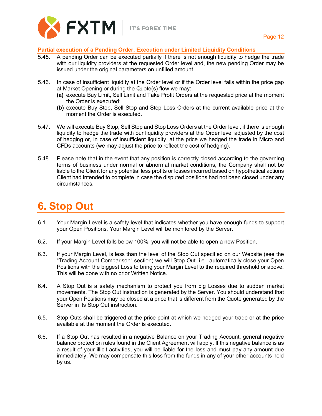

### **Partial execution of a Pending Order. Execution under Limited Liquidity Conditions**

- 5.45. A pending Order can be executed partially if there is not enough liquidity to hedge the trade with our liquidity providers at the requested Order level and, the new pending Order may be issued under the original parameters on unfilled amount.
- 5.46. In case of insufficient liquidity at the Order level or if the Order level falls within the price gap at Market Opening or during the Quote(s) flow we may:
	- **(a)** execute Buy Limit, Sell Limit and Take Profit Orders at the requested price at the moment the Order is executed;
	- **(b)** execute Buy Stop, Sell Stop and Stop Loss Orders at the current available price at the moment the Order is executed.
- 5.47. We will execute Buy Stop, Sell Stop and Stop Loss Orders at the Order level, if there is enough liquidity to hedge the trade with our liquidity providers at the Order level adjusted by the cost of hedging or, in case of insufficient liquidity, at the price we hedged the trade in Micro and CFDs accounts (we may adjust the price to reflect the cost of hedging).
- 5.48. Please note that in the event that any position is correctly closed according to the governing terms of business under normal or abnormal market conditions, the Company shall not be liable to the Client for any potential less profits or losses incurred based on hypothetical actions Client had intended to complete in case the disputed positions had not been closed under any circumstances.

## <span id="page-12-0"></span>**6. Stop Out**

- 6.1. Your Margin Level is a safety level that indicates whether you have enough funds to support your Open Positions. Your Margin Level will be monitored by the Server.
- 6.2. If your Margin Level falls below 100%, you will not be able to open a new Position.
- 6.3. If your Margin Level, is less than the level of the Stop Out specified on our Website (see the "Trading Account Comparison" section) we will Stop Out. i.e., automatically close your Open Positions with the biggest Loss to bring your Margin Level to the required threshold or above. This will be done with no prior Written Notice.
- 6.4. A Stop Out is a safety mechanism to protect you from big Losses due to sudden market movements. The Stop Out instruction is generated by the Server. You should understand that your Open Positions may be closed at a price that is different from the Quote generated by the Server in its Stop Out instruction.
- 6.5. Stop Outs shall be triggered at the price point at which we hedged your trade or at the price available at the moment the Order is executed.
- 6.6. If a Stop Out has resulted in a negative Balance on your Trading Account, general negative balance protection rules found in the Client Agreement will apply. If this negative balance is as a result of your illicit activities, you will be liable for the loss and must pay any amount due immediately. We may compensate this loss from the funds in any of your other accounts held by us.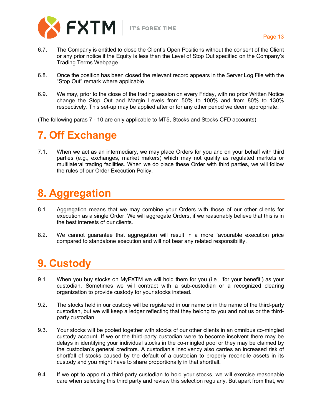

- 6.7. The Company is entitled to close the Client's Open Positions without the consent of the Client or any prior notice if the Equity is less than the Level of Stop Out specified on the Company's Trading Terms Webpage.
- 6.8. Once the position has been closed the relevant record appears in the Server Log File with the "Stop Out" remark where applicable.
- 6.9. We may, prior to the close of the trading session on every Friday, with no prior Written Notice change the Stop Out and Margin Levels from 50% to 100% and from 80% to 130% respectively. This set-up may be applied after or for any other period we deem appropriate.

<span id="page-13-0"></span>(The following paras 7 - 10 are only applicable to MT5, Stocks and Stocks CFD accounts)

## **7. Off Exchange**

7.1. When we act as an intermediary, we may place Orders for you and on your behalf with third parties (e.g., exchanges, market makers) which may not qualify as regulated markets or multilateral trading facilities. When we do place these Order with third parties, we will follow the rules of our Order Execution Policy.

## <span id="page-13-1"></span>**8. Aggregation**

- 8.1. Aggregation means that we may combine your Orders with those of our other clients for execution as a single Order. We will aggregate Orders, if we reasonably believe that this is in the best interests of our clients.
- 8.2. We cannot guarantee that aggregation will result in a more favourable execution price compared to standalone execution and will not bear any related responsibility.

## <span id="page-13-2"></span>**9. Custody**

- 9.1. When you buy stocks on MyFXTM we will hold them for you (i.e., 'for your benefit') as your custodian. Sometimes we will contract with a sub-custodian or a recognized clearing organization to provide custody for your stocks instead.
- 9.2. The stocks held in our custody will be registered in our name or in the name of the third-party custodian, but we will keep a ledger reflecting that they belong to you and not us or the thirdparty custodian.
- 9.3. Your stocks will be pooled together with stocks of our other clients in an omnibus co-mingled custody account. If we or the third-party custodian were to become insolvent there may be delays in identifying your individual stocks in the co-mingled pool or they may be claimed by the custodian's general creditors. A custodian's insolvency also carries an increased risk of shortfall of stocks caused by the default of a custodian to properly reconcile assets in its custody and you might have to share proportionally in that shortfall.
- 9.4. If we opt to appoint a third-party custodian to hold your stocks, we will exercise reasonable care when selecting this third party and review this selection regularly. But apart from that, we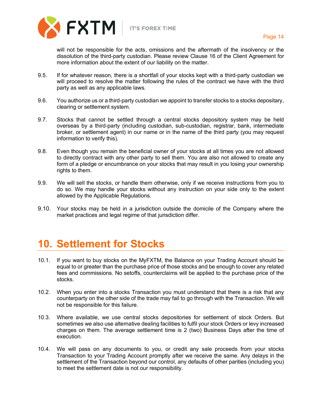

will not be responsible for the acts, omissions and the aftermath of the insolvency or the dissolution of the third-party custodian. Please review Clause 16 of the Client Agreement for more information about the extent of our liability on the matter.

- 9.5. If for whatever reason, there is a shortfall of your stocks kept with a third-party custodian we will proceed to resolve the matter following the rules of the contract we have with the third party as well as any applicable laws.
- 9.6. You authorize us or a third-party custodian we appoint to transfer stocks to a stocks depositary, clearing or settlement system.
- 9.7. Stocks that cannot be settled through a central stocks depository system may be held overseas by a third-party (including custodian, sub-custodian, registrar, bank, intermediate broker, or settlement agent) in our name or in the name of the third party (you may request information to verify this).
- 9.8. Even though you remain the beneficial owner of your stocks at all times you are not allowed to directly contract with any other party to sell them. You are also not allowed to create any form of a pledge or encumbrance on your stocks that may result in you losing your ownership rights to them.
- 9.9. We will sell the stocks, or handle them otherwise, only if we receive instructions from you to do so. We may handle your stocks without any instruction on your side only to the extent allowed by the Applicable Regulations.
- 9.10. Your stocks may be held in a jurisdiction outside the domicile of the Company where the market practices and legal regime of that jurisdiction differ.

## <span id="page-14-0"></span>**10. Settlement for Stocks**

- 10.1. If you want to buy stocks on the MyFXTM, the Balance on your Trading Account should be equal to or greater than the purchase price of those stocks and be enough to cover any related fees and commissions. No setoffs, counterclaims will be applied to the purchase price of the stocks.
- 10.2. When you enter into a stocks Transaction you must understand that there is a risk that any counterparty on the other side of the trade may fail to go through with the Transaction. We will not be responsible for this failure.
- 10.3. Where available, we use central stocks depositories for settlement of stock Orders. But sometimes we also use alternative dealing facilities to fulfil your stock Orders or levy increased charges on them. The average settlement time is 2 (two) Business Days after the time of execution.
- 10.4. We will pass on any documents to you, or credit any sale proceeds from your stocks Transaction to your Trading Account promptly after we receive the same. Any delays in the settlement of the Transaction beyond our control, any defaults of other parities (including you) to meet the settlement date is not our responsibility.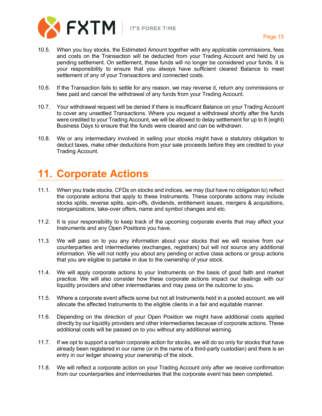

- 10.5. When you buy stocks, the Estimated Amount together with any applicable commissions, fees and costs on the Transaction will be deducted from your Trading Account and held by us pending settlement. On settlement, these funds will no longer be considered your funds. It is your responsibility to ensure that you always have sufficient cleared Balance to meet settlement of any of your Transactions and connected costs.
- 10.6. If the Transaction fails to settle for any reason, we may reverse it, return any commissions or fees paid and cancel the withdrawal of any funds from your Trading Account.
- 10.7. Your withdrawal request will be denied if there is insufficient Balance on your Trading Account to cover any unsettled Transactions. Where you request a withdrawal shortly after the funds were credited to your Trading Account, we will be allowed to delay settlement for up to 8 (eight) Business Days to ensure that the funds were cleared and can be withdrawn.
- 10.8. We or any intermediary involved in selling your stocks might have a statutory obligation to deduct taxes, make other deductions from your sale proceeds before they are credited to your Trading Account.

## <span id="page-15-0"></span>**11. Corporate Actions**

- 11.1. When you trade stocks, CFDs on stocks and indices, we may (but have no obligation to) reflect the corporate actions that apply to these Instruments. These corporate actions may include stocks splits, reverse splits, spin-offs, dividends, entitlement issues, mergers & acquisitions, reorganizations, take-over offers, name and symbol changes and etc.
- 11.2. It is your responsibility to keep track of the upcoming corporate events that may affect your Instruments and any Open Positions you have.
- 11.3. We will pass on to you any information about your stocks that we will receive from our counterparties and intermediaries (exchanges, registrars) but will not source any additional information. We will not notify you about any pending or active class actions or group actions that you are eligible to partake in due to the ownership of your stock.
- 11.4. We will apply corporate actions to your Instruments on the basis of good faith and market practice. We will also consider how these corporate actions impact our dealings with our liquidity providers and other intermediaries and may pass on the outcome to you.
- 11.5. Where a corporate event affects some but not all Instruments held in a pooled account, we will allocate the affected Instruments to the eligible clients in a fair and equitable manner.
- 11.6. Depending on the direction of your Open Position we might have additional costs applied directly by our liquidity providers and other intermediaries because of corporate actions. These additional costs will be passed on to you without any additional warning.
- 11.7. If we opt to support a certain corporate action for stocks, we will do so only for stocks that have already been registered in our name (or in the name of a third-party custodian) and there is an entry in our ledger showing your ownership of the stock.
- 11.8. We will reflect a corporate action on your Trading Account only after we receive confirmation from our counterparties and intermediaries that the corporate event has been completed.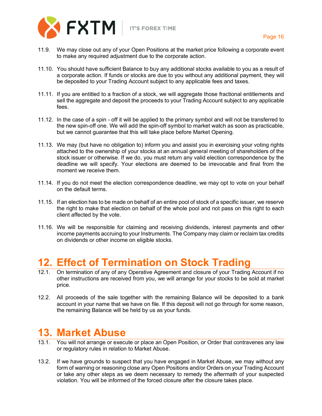

- 11.9. We may close out any of your Open Positions at the market price following a corporate event to make any required adjustment due to the corporate action.
- 11.10. You should have sufficient Balance to buy any additional stocks available to you as a result of a corporate action. If funds or stocks are due to you without any additional payment, they will be deposited to your Trading Account subject to any applicable fees and taxes.
- 11.11. If you are entitled to a fraction of a stock, we will aggregate those fractional entitlements and sell the aggregate and deposit the proceeds to your Trading Account subject to any applicable fees.
- 11.12. In the case of a spin off it will be applied to the primary symbol and will not be transferred to the new spin-off one. We will add the spin-off symbol to market watch as soon as practicable, but we cannot guarantee that this will take place before Market Opening.
- 11.13. We may (but have no obligation to) inform you and assist you in exercising your voting rights attached to the ownership of your stocks at an annual general meeting of shareholders of the stock issuer or otherwise. If we do, you must return any valid election correspondence by the deadline we will specify. Your elections are deemed to be irrevocable and final from the moment we receive them.
- 11.14. If you do not meet the election correspondence deadline, we may opt to vote on your behalf on the default terms.
- 11.15. If an election has to be made on behalf of an entire pool of stock of a specific issuer, we reserve the right to make that election on behalf of the whole pool and not pass on this right to each client affected by the vote.
- 11.16. We will be responsible for claiming and receiving dividends, interest payments and other income payments accruing to your Instruments. The Company may claim or reclaim tax credits on dividends or other income on eligible stocks.

## <span id="page-16-0"></span>**12. Effect of Termination on Stock Trading**

- 12.1. On termination of any of any Operative Agreement and closure of your Trading Account if no other instructions are received from you, we will arrange for your stocks to be sold at market price.
- 12.2. All proceeds of the sale together with the remaining Balance will be deposited to a bank account in your name that we have on file. If this deposit will not go through for some reason, the remaining Balance will be held by us as your funds.

## <span id="page-16-1"></span>**13. Market Abuse**

- 13.1. You will not arrange or execute or place an Open Position, or Order that contravenes any law or regulatory rules in relation to Market Abuse.
- 13.2. If we have grounds to suspect that you have engaged in Market Abuse, we may without any form of warning or reasoning close any Open Positions and/or Orders on your Trading Account or take any other steps as we deem necessary to remedy the aftermath of your suspected violation. You will be informed of the forced closure after the closure takes place.